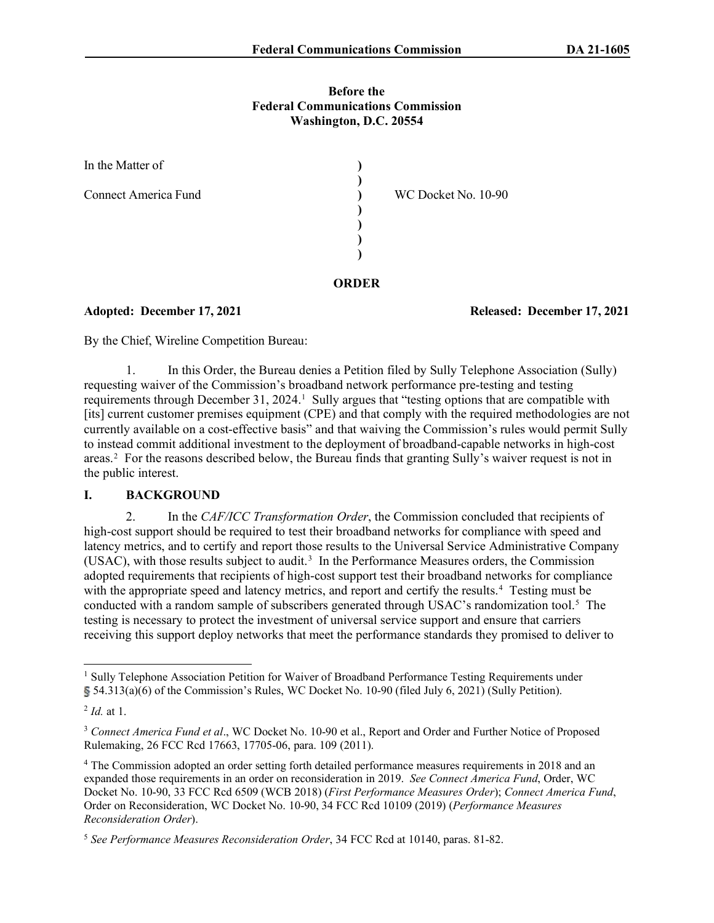### **Before the Federal Communications Commission Washington, D.C. 20554**

| In the Matter of            |                     |
|-----------------------------|---------------------|
| <b>Connect America Fund</b> | WC Docket No. 10-90 |
|                             |                     |
|                             |                     |

**Adopted: December 17, 2021 Released: December 17, 2021**

By the Chief, Wireline Competition Bureau:

1. In this Order, the Bureau denies a Petition filed by Sully Telephone Association (Sully) requesting waiver of the Commission's broadband network performance pre-testing and testing requirements through December 3[1](#page-0-0), 2024.<sup>1</sup> Sully argues that "testing options that are compatible with [its] current customer premises equipment (CPE) and that comply with the required methodologies are not currently available on a cost-effective basis" and that waiving the Commission's rules would permit Sully to instead commit additional investment to the deployment of broadband-capable networks in high-cost areas.<sup>[2](#page-0-1)</sup> For the reasons described below, the Bureau finds that granting Sully's waiver request is not in the public interest.

**ORDER**

# **I. BACKGROUND**

2. In the *CAF/ICC Transformation Order*, the Commission concluded that recipients of high-cost support should be required to test their broadband networks for compliance with speed and latency metrics, and to certify and report those results to the Universal Service Administrative Company (USAC), with those results subject to audit.[3](#page-0-2) In the Performance Measures orders, the Commission adopted requirements that recipients of high-cost support test their broadband networks for compliance with the appropriate speed and latency metrics, and report and certify the results.<sup>[4](#page-0-3)</sup> Testing must be conducted with a random sample of subscribers generated through USAC's randomization tool.<sup>[5](#page-0-4)</sup> The testing is necessary to protect the investment of universal service support and ensure that carriers receiving this support deploy networks that meet the performance standards they promised to deliver to

<span id="page-0-0"></span><sup>&</sup>lt;sup>1</sup> Sully Telephone Association Petition for Waiver of Broadband Performance Testing Requirements under 54.313(a)(6) of the Commission's Rules, WC Docket No. 10-90 (filed July 6, 2021) (Sully Petition).

<span id="page-0-1"></span><sup>2</sup> *Id.* at 1.

<span id="page-0-2"></span><sup>&</sup>lt;sup>3</sup> Connect America Fund et al., WC Docket No. 10-90 et al., Report and Order and Further Notice of Proposed Rulemaking, 26 FCC Rcd 17663, 17705-06, para. 109 (2011).

<span id="page-0-3"></span><sup>&</sup>lt;sup>4</sup> The Commission adopted an order setting forth detailed performance measures requirements in 2018 and an expanded those requirements in an order on reconsideration in 2019. *See Connect America Fund*, Order, WC Docket No. 10-90, 33 FCC Rcd 6509 (WCB 2018) (*First Performance Measures Order*); *Connect America Fund*, Order on Reconsideration, WC Docket No. 10-90, 34 FCC Rcd 10109 (2019) (*Performance Measures Reconsideration Order*).

<span id="page-0-4"></span><sup>5</sup> *See Performance Measures Reconsideration Order*, 34 FCC Rcd at 10140, paras. 81-82.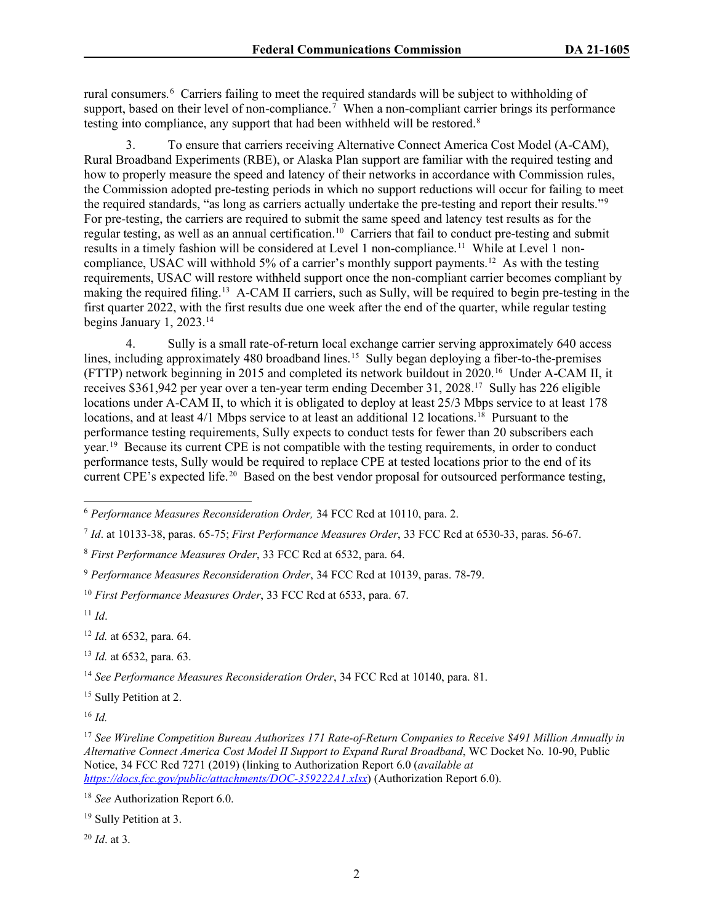rural consumers.<sup>[6](#page-1-0)</sup> Carriers failing to meet the required standards will be subject to withholding of support, based on their level of non-compliance.<sup>[7](#page-1-1)</sup> When a non-compliant carrier brings its performance testing into compliance, any support that had been withheld will be restored.<sup>[8](#page-1-2)</sup>

3. To ensure that carriers receiving Alternative Connect America Cost Model (A-CAM), Rural Broadband Experiments (RBE), or Alaska Plan support are familiar with the required testing and how to properly measure the speed and latency of their networks in accordance with Commission rules, the Commission adopted pre-testing periods in which no support reductions will occur for failing to meet the required standards, "as long as carriers actually undertake the pre-testing and report their results."[9](#page-1-3) For pre-testing, the carriers are required to submit the same speed and latency test results as for the regular testing, as well as an annual certification.<sup>[10](#page-1-4)</sup> Carriers that fail to conduct pre-testing and submit results in a timely fashion will be considered at Level 1 non-compliance.[11](#page-1-5) While at Level 1 noncompliance, USAC will withhold 5% of a carrier's monthly support payments.<sup>12</sup> As with the testing requirements, USAC will restore withheld support once the non-compliant carrier becomes compliant by making the required filing.[13](#page-1-7) A-CAM II carriers, such as Sully, will be required to begin pre-testing in the first quarter 2022, with the first results due one week after the end of the quarter, while regular testing begins January 1, 2023.[14](#page-1-8)

4. Sully is a small rate-of-return local exchange carrier serving approximately 640 access lines, including approximately 480 broadband lines.<sup>[15](#page-1-9)</sup> Sully began deploying a fiber-to-the-premises (FTTP) network beginning in 2015 and completed its network buildout in 2020.[16](#page-1-10) Under A-CAM II, it receives \$361,942 per year over a ten-year term ending December 31, 2028.[17](#page-1-11) Sully has 226 eligible locations under A-CAM II, to which it is obligated to deploy at least 25/3 Mbps service to at least 178 locations, and at least  $4/1$  Mbps service to at least an additional 12 locations.<sup>[18](#page-1-12)</sup> Pursuant to the performance testing requirements, Sully expects to conduct tests for fewer than 20 subscribers each year.[19](#page-1-13) Because its current CPE is not compatible with the testing requirements, in order to conduct performance tests, Sully would be required to replace CPE at tested locations prior to the end of its current CPE's expected life.<sup>[20](#page-1-14)</sup> Based on the best vendor proposal for outsourced performance testing,

<span id="page-1-5"></span><sup>11</sup> *Id*.

<span id="page-1-6"></span><sup>12</sup> *Id.* at 6532, para. 64.

<span id="page-1-7"></span><sup>13</sup> *Id.* at 6532, para. 63.

<span id="page-1-8"></span><sup>14</sup> *See Performance Measures Reconsideration Order*, 34 FCC Rcd at 10140, para. 81.

<span id="page-1-9"></span><sup>15</sup> Sully Petition at 2.

<span id="page-1-10"></span><sup>16</sup> *Id.*

<span id="page-1-14"></span><sup>20</sup> *Id*. at 3.

<span id="page-1-0"></span><sup>6</sup> *Performance Measures Reconsideration Order,* 34 FCC Rcd at 10110, para. 2.

<span id="page-1-1"></span><sup>7</sup> *Id*. at 10133-38, paras. 65-75; *First Performance Measures Order*, 33 FCC Rcd at 6530-33, paras. 56-67.

<span id="page-1-2"></span><sup>8</sup> *First Performance Measures Order*, 33 FCC Rcd at 6532, para. 64.

<span id="page-1-3"></span><sup>9</sup> *Performance Measures Reconsideration Order*, 34 FCC Rcd at 10139, paras. 78-79.

<span id="page-1-4"></span><sup>10</sup> *First Performance Measures Order*, 33 FCC Rcd at 6533, para. 67.

<span id="page-1-11"></span><sup>17</sup> *See Wireline Competition Bureau Authorizes 171 Rate-of-Return Companies to Receive \$491 Million Annually in Alternative Connect America Cost Model II Support to Expand Rural Broadband*, WC Docket No. 10-90, Public Notice, 34 FCC Rcd 7271 (2019) (linking to Authorization Report 6.0 (*available at <https://docs.fcc.gov/public/attachments/DOC-359222A1.xlsx>*) (Authorization Report 6.0).

<span id="page-1-12"></span><sup>18</sup> *See* Authorization Report 6.0.

<span id="page-1-13"></span><sup>&</sup>lt;sup>19</sup> Sully Petition at 3.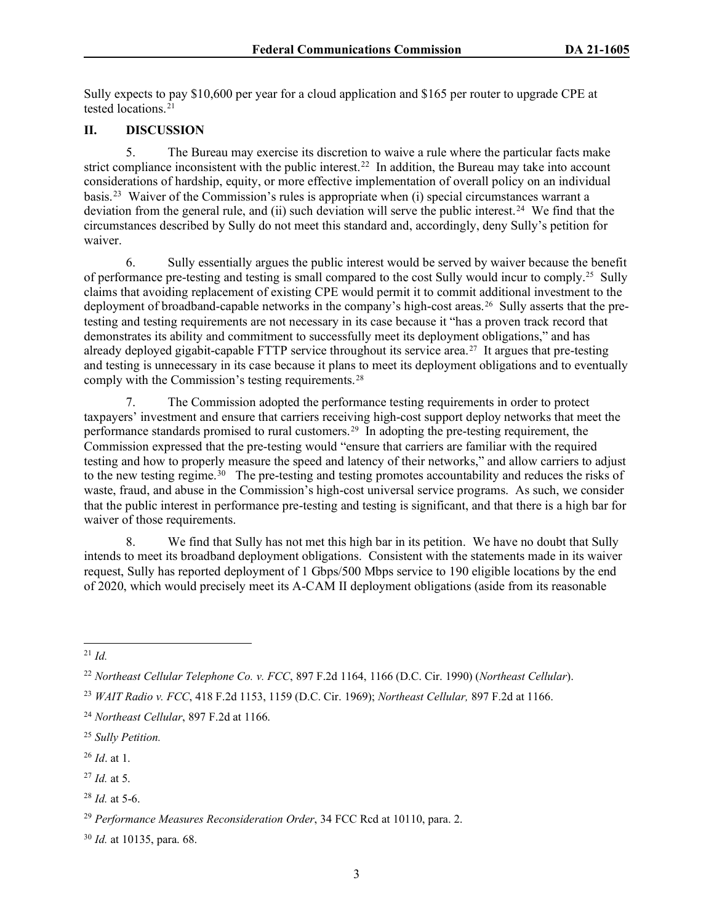Sully expects to pay \$10,600 per year for a cloud application and \$165 per router to upgrade CPE at tested locations. $21$ 

## **II. DISCUSSION**

5. The Bureau may exercise its discretion to waive a rule where the particular facts make strict compliance inconsistent with the public interest.<sup>[22](#page-2-1)</sup> In addition, the Bureau may take into account considerations of hardship, equity, or more effective implementation of overall policy on an individual basis.[23](#page-2-2) Waiver of the Commission's rules is appropriate when (i) special circumstances warrant a deviation from the general rule, and (ii) such deviation will serve the public interest.<sup>[24](#page-2-3)</sup> We find that the circumstances described by Sully do not meet this standard and, accordingly, deny Sully's petition for waiver.

6. Sully essentially argues the public interest would be served by waiver because the benefit of performance pre-testing and testing is small compared to the cost Sully would incur to comply.[25](#page-2-4) Sully claims that avoiding replacement of existing CPE would permit it to commit additional investment to the deployment of broadband-capable networks in the company's high-cost areas.<sup>26</sup> Sully asserts that the pretesting and testing requirements are not necessary in its case because it "has a proven track record that demonstrates its ability and commitment to successfully meet its deployment obligations," and has already deployed gigabit-capable FTTP service throughout its service area.[27](#page-2-6) It argues that pre-testing and testing is unnecessary in its case because it plans to meet its deployment obligations and to eventually comply with the Commission's testing requirements.<sup>[28](#page-2-7)</sup>

7. The Commission adopted the performance testing requirements in order to protect taxpayers' investment and ensure that carriers receiving high-cost support deploy networks that meet the performance standards promised to rural customers.<sup>29</sup> In adopting the pre-testing requirement, the Commission expressed that the pre-testing would "ensure that carriers are familiar with the required testing and how to properly measure the speed and latency of their networks," and allow carriers to adjust to the new testing regime.<sup>30</sup> The pre-testing and testing promotes accountability and reduces the risks of waste, fraud, and abuse in the Commission's high-cost universal service programs. As such, we consider that the public interest in performance pre-testing and testing is significant, and that there is a high bar for waiver of those requirements.

8. We find that Sully has not met this high bar in its petition. We have no doubt that Sully intends to meet its broadband deployment obligations. Consistent with the statements made in its waiver request, Sully has reported deployment of 1 Gbps/500 Mbps service to 190 eligible locations by the end of 2020, which would precisely meet its A-CAM II deployment obligations (aside from its reasonable

- <span id="page-2-5"></span><sup>26</sup> *Id*. at 1.
- <span id="page-2-6"></span><sup>27</sup> *Id.* at 5.

<span id="page-2-0"></span> $^{21}$  *Id.* 

<span id="page-2-1"></span><sup>22</sup> *Northeast Cellular Telephone Co. v. FCC*, 897 F.2d 1164, 1166 (D.C. Cir. 1990) (*Northeast Cellular*).

<span id="page-2-2"></span><sup>23</sup> *WAIT Radio v. FCC*, 418 F.2d 1153, 1159 (D.C. Cir. 1969); *Northeast Cellular,* 897 F.2d at 1166.

<span id="page-2-3"></span><sup>24</sup> *Northeast Cellular*, 897 F.2d at 1166.

<span id="page-2-4"></span><sup>25</sup> *Sully Petition.*

<span id="page-2-7"></span> $^{28}$  *Id.* at 5-6.

<span id="page-2-8"></span><sup>29</sup> *Performance Measures Reconsideration Order*, 34 FCC Rcd at 10110, para. 2.

<span id="page-2-9"></span><sup>30</sup> *Id.* at 10135, para. 68.